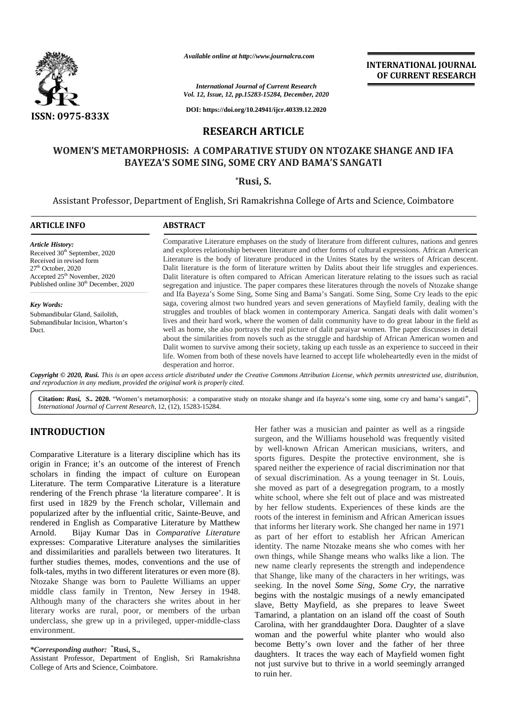

*Available online at http://www.journalcra.com*

### **RESEARCH ARTICLE**

# **WOMEN'S METAMORPHOSIS: A COMPARATIVE STUDY ON NTOZAKE SHANGE AND IFA** AMORPHOSIS: A COMPARATIVE STUDY ON NTOZAKE SHANG.<br>BAYEZA'S SOME SING, SOME CRY AND BAMA'S SANGATI

### **\*Rusi, S.**

|                                                                                                                                                                                                                                                                                                                                                                                                                                                                                                                                                                                                                                                                                                                                                                                                                                                                                                                                                                                                                                                                                                                                                               |                                                                                                                                                                                                                                                                                                                                                                                                                                                                                                                                                                                                                                                                                                                                                                                                                                                                                                                                                                                                                                                                                                                                                                                                                                                                                                                                                                                                                                                                                                                                              | Available online at http://www.journalcra.com                                                          | <b>INTERNATIONAL JOURNAL</b><br>OF CURRENT RESEARCH                                                                                                                                                                                                                                                                                                                                                                                                                                                                                                                                                                                                                                                                                                                                                                                                                                                                                                                                                                                                                                                                                                                                                                                                                                                                             |
|---------------------------------------------------------------------------------------------------------------------------------------------------------------------------------------------------------------------------------------------------------------------------------------------------------------------------------------------------------------------------------------------------------------------------------------------------------------------------------------------------------------------------------------------------------------------------------------------------------------------------------------------------------------------------------------------------------------------------------------------------------------------------------------------------------------------------------------------------------------------------------------------------------------------------------------------------------------------------------------------------------------------------------------------------------------------------------------------------------------------------------------------------------------|----------------------------------------------------------------------------------------------------------------------------------------------------------------------------------------------------------------------------------------------------------------------------------------------------------------------------------------------------------------------------------------------------------------------------------------------------------------------------------------------------------------------------------------------------------------------------------------------------------------------------------------------------------------------------------------------------------------------------------------------------------------------------------------------------------------------------------------------------------------------------------------------------------------------------------------------------------------------------------------------------------------------------------------------------------------------------------------------------------------------------------------------------------------------------------------------------------------------------------------------------------------------------------------------------------------------------------------------------------------------------------------------------------------------------------------------------------------------------------------------------------------------------------------------|--------------------------------------------------------------------------------------------------------|---------------------------------------------------------------------------------------------------------------------------------------------------------------------------------------------------------------------------------------------------------------------------------------------------------------------------------------------------------------------------------------------------------------------------------------------------------------------------------------------------------------------------------------------------------------------------------------------------------------------------------------------------------------------------------------------------------------------------------------------------------------------------------------------------------------------------------------------------------------------------------------------------------------------------------------------------------------------------------------------------------------------------------------------------------------------------------------------------------------------------------------------------------------------------------------------------------------------------------------------------------------------------------------------------------------------------------|
|                                                                                                                                                                                                                                                                                                                                                                                                                                                                                                                                                                                                                                                                                                                                                                                                                                                                                                                                                                                                                                                                                                                                                               |                                                                                                                                                                                                                                                                                                                                                                                                                                                                                                                                                                                                                                                                                                                                                                                                                                                                                                                                                                                                                                                                                                                                                                                                                                                                                                                                                                                                                                                                                                                                              | <b>International Journal of Current Research</b><br>Vol. 12, Issue, 12, pp.15283-15284, December, 2020 |                                                                                                                                                                                                                                                                                                                                                                                                                                                                                                                                                                                                                                                                                                                                                                                                                                                                                                                                                                                                                                                                                                                                                                                                                                                                                                                                 |
| <b>ISSN: 0975-833X</b>                                                                                                                                                                                                                                                                                                                                                                                                                                                                                                                                                                                                                                                                                                                                                                                                                                                                                                                                                                                                                                                                                                                                        |                                                                                                                                                                                                                                                                                                                                                                                                                                                                                                                                                                                                                                                                                                                                                                                                                                                                                                                                                                                                                                                                                                                                                                                                                                                                                                                                                                                                                                                                                                                                              | DOI: https://doi.org/10.24941/ijcr.40339.12.2020                                                       |                                                                                                                                                                                                                                                                                                                                                                                                                                                                                                                                                                                                                                                                                                                                                                                                                                                                                                                                                                                                                                                                                                                                                                                                                                                                                                                                 |
|                                                                                                                                                                                                                                                                                                                                                                                                                                                                                                                                                                                                                                                                                                                                                                                                                                                                                                                                                                                                                                                                                                                                                               |                                                                                                                                                                                                                                                                                                                                                                                                                                                                                                                                                                                                                                                                                                                                                                                                                                                                                                                                                                                                                                                                                                                                                                                                                                                                                                                                                                                                                                                                                                                                              | <b>RESEARCH ARTICLE</b>                                                                                |                                                                                                                                                                                                                                                                                                                                                                                                                                                                                                                                                                                                                                                                                                                                                                                                                                                                                                                                                                                                                                                                                                                                                                                                                                                                                                                                 |
|                                                                                                                                                                                                                                                                                                                                                                                                                                                                                                                                                                                                                                                                                                                                                                                                                                                                                                                                                                                                                                                                                                                                                               | BAYEZA'S SOME SING, SOME CRY AND BAMA'S SANGATI                                                                                                                                                                                                                                                                                                                                                                                                                                                                                                                                                                                                                                                                                                                                                                                                                                                                                                                                                                                                                                                                                                                                                                                                                                                                                                                                                                                                                                                                                              |                                                                                                        | WOMEN'S METAMORPHOSIS: A COMPARATIVE STUDY ON NTOZAKE SHANGE AND IFA                                                                                                                                                                                                                                                                                                                                                                                                                                                                                                                                                                                                                                                                                                                                                                                                                                                                                                                                                                                                                                                                                                                                                                                                                                                            |
|                                                                                                                                                                                                                                                                                                                                                                                                                                                                                                                                                                                                                                                                                                                                                                                                                                                                                                                                                                                                                                                                                                                                                               |                                                                                                                                                                                                                                                                                                                                                                                                                                                                                                                                                                                                                                                                                                                                                                                                                                                                                                                                                                                                                                                                                                                                                                                                                                                                                                                                                                                                                                                                                                                                              | <i>*Rusi, S.</i>                                                                                       |                                                                                                                                                                                                                                                                                                                                                                                                                                                                                                                                                                                                                                                                                                                                                                                                                                                                                                                                                                                                                                                                                                                                                                                                                                                                                                                                 |
|                                                                                                                                                                                                                                                                                                                                                                                                                                                                                                                                                                                                                                                                                                                                                                                                                                                                                                                                                                                                                                                                                                                                                               |                                                                                                                                                                                                                                                                                                                                                                                                                                                                                                                                                                                                                                                                                                                                                                                                                                                                                                                                                                                                                                                                                                                                                                                                                                                                                                                                                                                                                                                                                                                                              |                                                                                                        | Assistant Professor, Department of English, Sri Ramakrishna College of Arts and Science, Coimbatore                                                                                                                                                                                                                                                                                                                                                                                                                                                                                                                                                                                                                                                                                                                                                                                                                                                                                                                                                                                                                                                                                                                                                                                                                             |
| <b>ARTICLE INFO</b>                                                                                                                                                                                                                                                                                                                                                                                                                                                                                                                                                                                                                                                                                                                                                                                                                                                                                                                                                                                                                                                                                                                                           | <b>ABSTRACT</b>                                                                                                                                                                                                                                                                                                                                                                                                                                                                                                                                                                                                                                                                                                                                                                                                                                                                                                                                                                                                                                                                                                                                                                                                                                                                                                                                                                                                                                                                                                                              |                                                                                                        |                                                                                                                                                                                                                                                                                                                                                                                                                                                                                                                                                                                                                                                                                                                                                                                                                                                                                                                                                                                                                                                                                                                                                                                                                                                                                                                                 |
| <b>Article History:</b><br>Received 30 <sup>th</sup> September, 2020<br>Received in revised form<br>$27th$ October, 2020<br>Accepted 25 <sup>th</sup> November, 2020<br>Published online 30 <sup>th</sup> December, 2020                                                                                                                                                                                                                                                                                                                                                                                                                                                                                                                                                                                                                                                                                                                                                                                                                                                                                                                                      | Comparative Literature emphases on the study of literature from different cultures, nations and genres<br>and explores relationship between literature and other forms of cultural expressions. African American<br>Literature is the body of literature produced in the Unites States by the writers of African descent.<br>Dalit literature is the form of literature written by Dalits about their life struggles and experiences.<br>Dalit literature is often compared to African American literature relating to the issues such as racial<br>segregation and injustice. The paper compares these literatures through the novels of Ntozake shange<br>and Ifa Bayeza's Some Sing, Some Sing and Bama's Sangati. Some Sing, Some Cry leads to the epic<br>saga, covering almost two hundred years and seven generations of Mayfield family, dealing with the<br>struggles and troubles of black women in contemporary America. Sangati deals with dalit women's<br>lives and their hard work, where the women of dalit community have to do great labour in the field as<br>well as home, she also portrays the real picture of dalit paraiyar women. The paper discusses in detail<br>about the similarities from novels such as the struggle and hardship of African American women and<br>Dalit women to survive among their society, taking up each tussle as an experience to succeed in their<br>life. Women from both of these novels have learned to accept life wholeheartedly even in the midst of<br>desperation and horror. |                                                                                                        |                                                                                                                                                                                                                                                                                                                                                                                                                                                                                                                                                                                                                                                                                                                                                                                                                                                                                                                                                                                                                                                                                                                                                                                                                                                                                                                                 |
| <b>Key Words:</b><br>Submandibular Gland, Sailolith,<br>Submandibular Incision, Wharton's<br>Duct.                                                                                                                                                                                                                                                                                                                                                                                                                                                                                                                                                                                                                                                                                                                                                                                                                                                                                                                                                                                                                                                            |                                                                                                                                                                                                                                                                                                                                                                                                                                                                                                                                                                                                                                                                                                                                                                                                                                                                                                                                                                                                                                                                                                                                                                                                                                                                                                                                                                                                                                                                                                                                              |                                                                                                        |                                                                                                                                                                                                                                                                                                                                                                                                                                                                                                                                                                                                                                                                                                                                                                                                                                                                                                                                                                                                                                                                                                                                                                                                                                                                                                                                 |
| and reproduction in any medium, provided the original work is properly cited.                                                                                                                                                                                                                                                                                                                                                                                                                                                                                                                                                                                                                                                                                                                                                                                                                                                                                                                                                                                                                                                                                 |                                                                                                                                                                                                                                                                                                                                                                                                                                                                                                                                                                                                                                                                                                                                                                                                                                                                                                                                                                                                                                                                                                                                                                                                                                                                                                                                                                                                                                                                                                                                              |                                                                                                        | Copyright © 2020, Rusi. This is an open access article distributed under the Creative Commons Attribution License, which permits unrestricted use, distribution,                                                                                                                                                                                                                                                                                                                                                                                                                                                                                                                                                                                                                                                                                                                                                                                                                                                                                                                                                                                                                                                                                                                                                                |
| International Journal of Current Research, 12, (12), 15283-15284.                                                                                                                                                                                                                                                                                                                                                                                                                                                                                                                                                                                                                                                                                                                                                                                                                                                                                                                                                                                                                                                                                             |                                                                                                                                                                                                                                                                                                                                                                                                                                                                                                                                                                                                                                                                                                                                                                                                                                                                                                                                                                                                                                                                                                                                                                                                                                                                                                                                                                                                                                                                                                                                              |                                                                                                        | Citation: Rusi, S 2020. "Women's metamorphosis: a comparative study on ntozake shange and ifa bayeza's some sing, some cry and bama's sangati",                                                                                                                                                                                                                                                                                                                                                                                                                                                                                                                                                                                                                                                                                                                                                                                                                                                                                                                                                                                                                                                                                                                                                                                 |
| <b>INTRODUCTION</b>                                                                                                                                                                                                                                                                                                                                                                                                                                                                                                                                                                                                                                                                                                                                                                                                                                                                                                                                                                                                                                                                                                                                           |                                                                                                                                                                                                                                                                                                                                                                                                                                                                                                                                                                                                                                                                                                                                                                                                                                                                                                                                                                                                                                                                                                                                                                                                                                                                                                                                                                                                                                                                                                                                              |                                                                                                        | Her father was a musician and painter as well as a ringside<br>surgeon, and the Williams household was frequently visited                                                                                                                                                                                                                                                                                                                                                                                                                                                                                                                                                                                                                                                                                                                                                                                                                                                                                                                                                                                                                                                                                                                                                                                                       |
| Comparative Literature is a literary discipline which has its<br>origin in France; it's an outcome of the interest of French<br>scholars in finding the impact of culture on European<br>Literature. The term Comparative Literature is a literature<br>rendering of the French phrase 'la literature comparee'. It is<br>first used in 1829 by the French scholar, Villemain and<br>popularized after by the influential critic, Sainte-Beuve, and<br>rendered in English as Comparative Literature by Matthew<br>Bijay Kumar Das in Comparative Literature<br>Arnold.<br>expresses: Comparative Literature analyses the similarities<br>and dissimilarities and parallels between two literatures. It<br>further studies themes, modes, conventions and the use of<br>folk-tales, myths in two different literatures or even more (8).<br>Ntozake Shange was born to Paulette Williams an upper<br>middle class family in Trenton, New Jersey in 1948.<br>Although many of the characters she writes about in her<br>literary works are rural, poor, or members of the urban<br>underclass, she grew up in a privileged, upper-middle-class<br>environment. |                                                                                                                                                                                                                                                                                                                                                                                                                                                                                                                                                                                                                                                                                                                                                                                                                                                                                                                                                                                                                                                                                                                                                                                                                                                                                                                                                                                                                                                                                                                                              |                                                                                                        | by well-known African American musicians, writers, and<br>sports figures. Despite the protective environment, she is<br>spared neither the experience of racial discrimination nor that<br>of sexual discrimination. As a young teenager in St. Louis,<br>she moved as part of a desegregation program, to a mostly<br>white school, where she felt out of place and was mistreated<br>by her fellow students. Experiences of these kinds are the<br>roots of the interest in feminism and African American issues<br>that informs her literary work. She changed her name in 1971<br>as part of her effort to establish her African American<br>identity. The name Ntozake means she who comes with her<br>own things, while Shange means who walks like a lion. The<br>new name clearly represents the strength and independence<br>that Shange, like many of the characters in her writings, was<br>seeking. In the novel Some Sing, Some Cry, the narrative<br>begins with the nostalgic musings of a newly emancipated<br>slave, Betty Mayfield, as she prepares to leave Sweet<br>Tamarind, a plantation on an island off the coast of South<br>Carolina, with her granddaughter Dora. Daughter of a slave<br>woman and the powerful white planter who would also<br>become Betty's own lover and the father of her three |
| <i>*Corresponding author:</i> <sup>*</sup> Rusi, S.,<br>Assistant Professor, Department of English, Sri Ramakrishna<br>College of Arts and Science, Coimbatore.                                                                                                                                                                                                                                                                                                                                                                                                                                                                                                                                                                                                                                                                                                                                                                                                                                                                                                                                                                                               |                                                                                                                                                                                                                                                                                                                                                                                                                                                                                                                                                                                                                                                                                                                                                                                                                                                                                                                                                                                                                                                                                                                                                                                                                                                                                                                                                                                                                                                                                                                                              |                                                                                                        | daughters. It traces the way each of Mayfield women fight<br>not just survive but to thrive in a world seemingly arranged                                                                                                                                                                                                                                                                                                                                                                                                                                                                                                                                                                                                                                                                                                                                                                                                                                                                                                                                                                                                                                                                                                                                                                                                       |

# **INTRODUCTION INTRODUCTION**

*<sup>\*</sup>Corresponding author:* **\*Rusi, S.,** *\*Corresponding* 

Assistant Professor, Department of English, Sri Ramakrishna College of Arts and Science, Coimbatore.